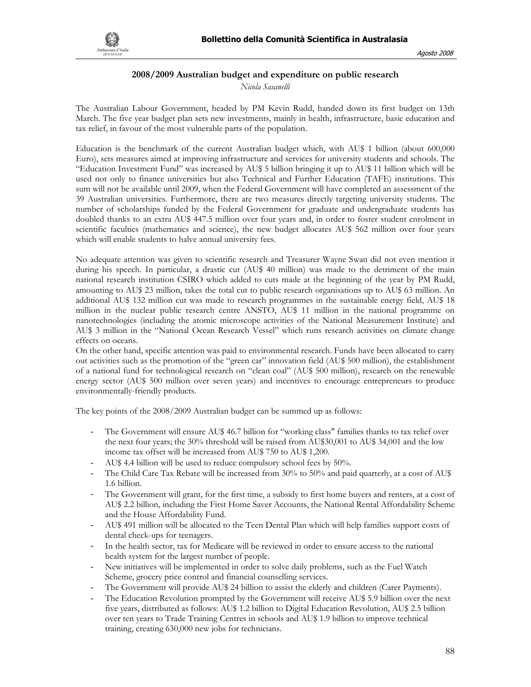

## **2008/2009 Australian budget and expenditure on public research**

*Nicola Sasanelli* 

The Australian Labour Government, headed by PM Kevin Rudd, handed down its first budget on 13th March. The five year budget plan sets new investments, mainly in health, infrastructure, basic education and tax relief, in favour of the most vulnerable parts of the population.

Education is the benchmark of the current Australian budget which, with AU\$ 1 billion (about 600,000 Euro), sets measures aimed at improving infrastructure and services for university students and schools. The "Education Investment Fund" was increased by AU\$ 5 billion bringing it up to AU\$ 11 billion which will be used not only to finance universities but also Technical and Further Education (TAFE) institutions. This sum will not be available until 2009, when the Federal Government will have completed an assessment of the 39 Australian universities. Furthermore, there are two measures directly targeting university students. The number of scholarships funded by the Federal Government for graduate and undergraduate students has doubled thanks to an extra AU\$ 447.5 million over four years and, in order to foster student enrolment in scientific faculties (mathematics and science), the new budget allocates AU\$ 562 million over four years which will enable students to halve annual university fees.

No adequate attention was given to scientific research and Treasurer Wayne Swan did not even mention it during his speech. In particular, a drastic cut (AU\$ 40 million) was made to the detriment of the main national research institution CSIRO which added to cuts made at the beginning of the year by PM Rudd, amounting to AU\$ 23 million, takes the total cut to public research organisations up to AU\$ 63 million. An additional AU\$ 132 million cut was made to research programmes in the sustainable energy field, AU\$ 18 million in the nuclear public research centre ANSTO, AU\$ 11 million in the national programme on nanotechnologies (including the atomic microscope activities of the National Measurement Institute) and AU\$ 3 million in the "National Ocean Research Vessel" which runs research activities on climate change effects on oceans.

On the other hand, specific attention was paid to environmental research. Funds have been allocated to carry out activities such as the promotion of the "green car" innovation field (AU\$ 500 million), the establishment of a national fund for technological research on "clean coal" (AU\$ 500 million), research on the renewable energy sector (AU\$ 500 million over seven years) and incentives to encourage entrepreneurs to produce environmentally-friendly products.

The key points of the 2008/2009 Australian budget can be summed up as follows:

- The Government will ensure AU\$ 46.7 billion for "working class" families thanks to tax relief over the next four years; the 30% threshold will be raised from AU\$30,001 to AU\$ 34,001 and the low income tax offset will be increased from AU\$ 750 to AU\$ 1,200.
- AU\$ 4.4 billion will be used to reduce compulsory school fees by 50%.
- The Child Care Tax Rebate will be increased from 30% to 50% and paid quarterly, at a cost of AU\$ 1.6 billion.
- The Government will grant, for the first time, a subsidy to first home buyers and renters, at a cost of AU\$ 2.2 billion, including the First Home Saver Accounts, the National Rental Affordability Scheme and the House Affordability Fund.
- AU\$ 491 million will be allocated to the Teen Dental Plan which will help families support costs of dental check-ups for teenagers.
- In the health sector, tax for Medicare will be reviewed in order to ensure access to the national health system for the largest number of people.
- New initiatives will be implemented in order to solve daily problems, such as the Fuel Watch Scheme, grocery price control and financial counselling services.
- The Government will provide AU\$ 24 billion to assist the elderly and children (Carer Payments).
- The Education Revolution prompted by the Government will receive AU\$ 5.9 billion over the next five years, distributed as follows: AU\$ 1.2 billion to Digital Education Revolution, AU\$ 2.5 billion over ten years to Trade Training Centres in schools and AU\$ 1.9 billion to improve technical training, creating 630,000 new jobs for technicians.